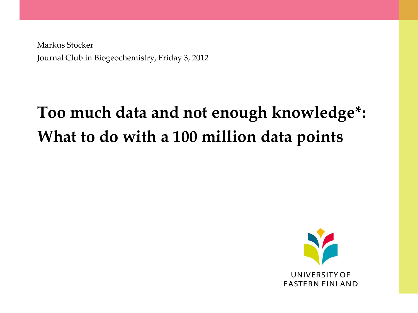Markus Stocker Journal Club in Biogeochemistry, Friday 3, 2012

# **Too much data and not enough knowledge\*: What to do with a 100 million data points**

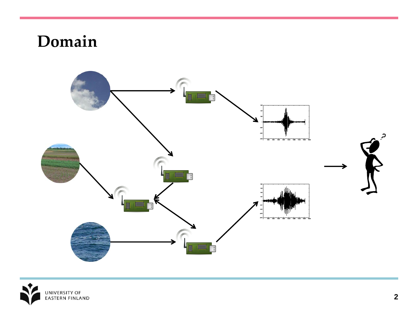### **Domain**



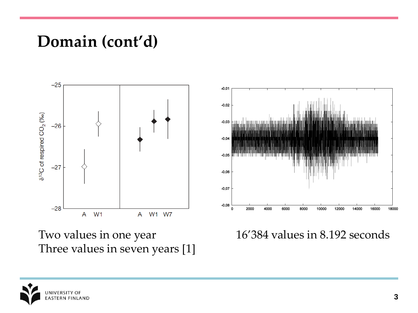#### **Domain (cont'd)**



Two values in one year Three values in seven years [1] 16'384 values in 8.192 seconds

10000

12000

14000

16000

18000

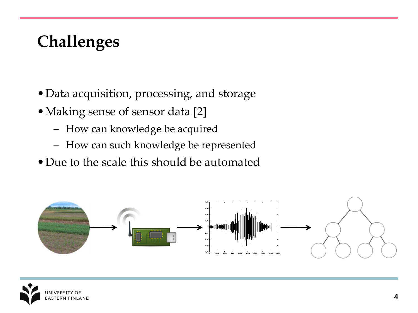## **Challenges**

- •Data acquisition, processing, and storage
- •Making sense of sensor data [2]
	- How can knowledge be acquired
	- How can such knowledge be represented
- Due to the scale this should be automated



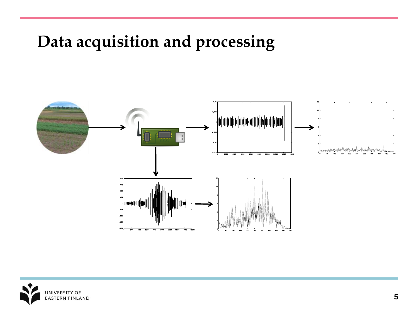## **Data acquisition and processing**



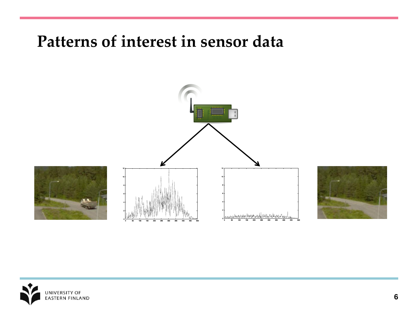#### **Patterns of interest in sensor data**





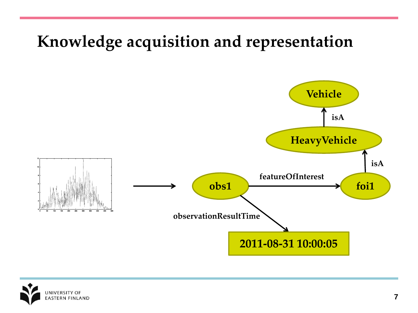

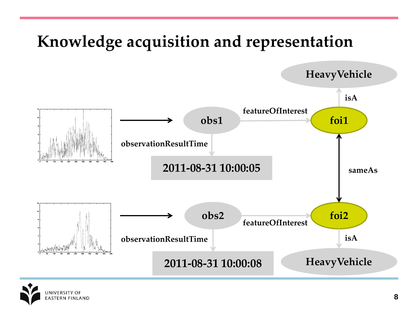

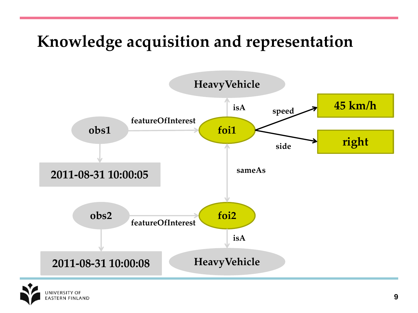

**ASTERN FINLAND**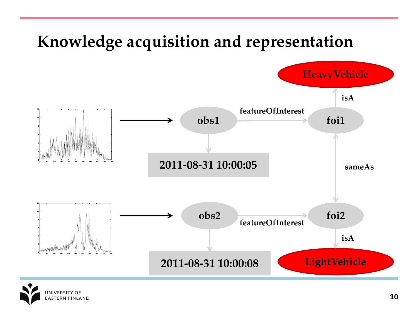

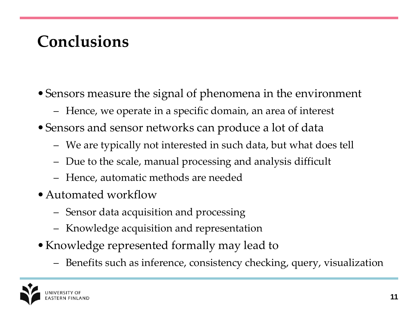## **Conclusions**

- •Sensors measure the signal of phenomena in the environment
	- Hence, we operate in a specific domain, an area of interest
- •Sensors and sensor networks can produce a lot of data
	- We are typically not interested in such data, but what does tell
	- Due to the scale, manual processing and analysis difficult
	- Hence, automatic methods are needed
- Automated workflow
	- Sensor data acquisition and processing
	- Knowledge acquisition and representation
- Knowledge represented formally may lead to
	- Benefits such as inference, consistency checking, query, visualization